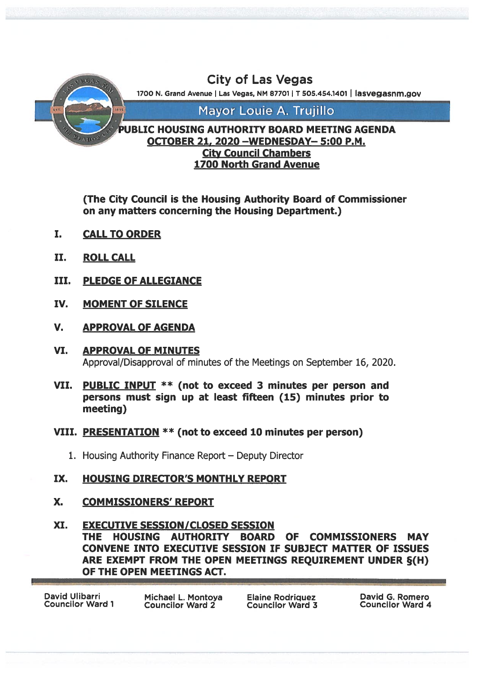

(The City Council is the Housing Authority Board of Commissioner on any matters concerning the Housing Department.)

- I. CALLTO ORDER
- IL ROLL CALL
- III. PLEDGE OF ALLEGIANCE
- IV. MOMENT OF SILENCE
- V. APPROVAL OF AGENDA
- VI. APPROVAL OF MINUTES Approval/Disapproval of minutes of the Meetings on September 16, 2020.
- VII. PUBLIC INPUT \*\* (not to exceed 3 minutes per person and persons must sign up at least fifteen (15) minutes prior to meeting)
- VIII. PRESENTATION \*\* (not to exceed 10 minutes per person)
	- 1. Housing Authority Finance Report Deputy Director
- IX. HOUSING DIRECTOR'S MONTHLY REPORT
- X. COMMISSIONERS' REPORT
- XI. EXECUTIVE SESSION/CLOSED SESSION THE HOUSING AUTHORITY BOARD OF COMMISSIONERS MAY CONVENE INTO EXECUTIVE SESSION IF SUBJECT MATTER OF ISSUES ARE EXEMPT FROM THE OPEN MEETINGS REQUIREMENT UNDER §(H) OF THE OPEN MEETINGS ACT.

David Ulibarri Michael L. Montoya Elaine Rodriquez David G. Romero Councilor Ward <sup>1</sup> Councilor Ward <sup>2</sup> Councilor Ward <sup>3</sup> Councilor Ward <sup>4</sup>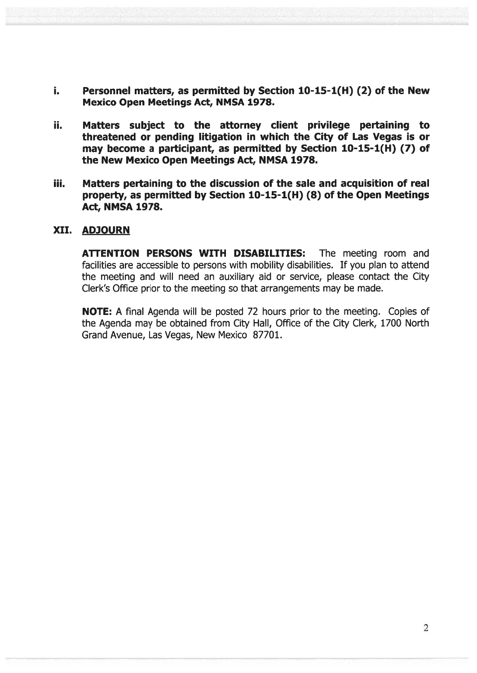- i. Personnel matters, as permitted by Section 10-15-1(H) (2) of the New Mexico Open Meetings Act, NMSA 1978.
- ii. Matters subject to the attorney client privilege pertaining to threatened or pending litigation in which the City of Las Vegas is or may become <sup>a</sup> participant, as permitted by Section 10-15-1(H) (7) of the New Mexico Open Meetings Act, NMSA 1978.
- iii. Matters pertaining to the discussion of the sale and acquisition of real property, as permitted by Section 10-15-1(H) (8) of the Open Meetings Act, NMSA 1978.

#### XII. ADJOURN

ATTENTION PERSONS WITH DISABILITIES: The meeting room and facilities are accessible to persons with mobility disabilities. If you plan to attend the meeting and will need an auxiliary aid or service, please contact the City Clerk's Office prior to the meeting so that arrangements may be made.

NOTE: A final Agenda will be posted 72 hours prior to the meeting. Copies of the Agenda may be obtained from City Hall, Office of the City Clerk, 1700 North Grand Avenue, Las Vegas, New Mexico 87701.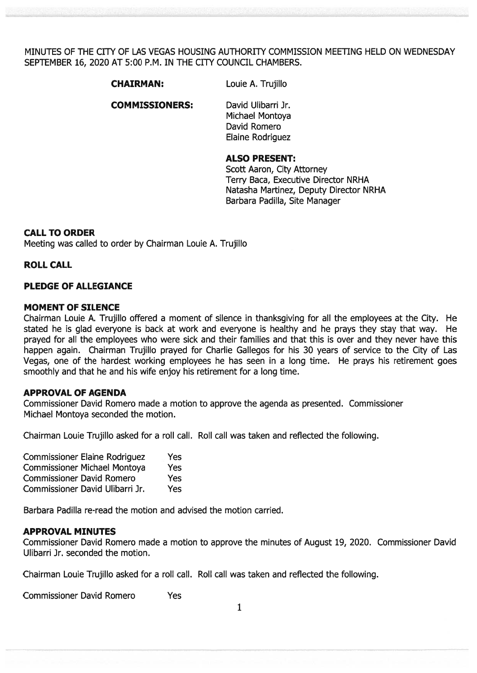MINUTES OF THE CiTY OF LAS VEGAS HOUSING AUTHORITY COMMISSION MEETING HELD ON WEDNESDAY SEPTEMBER 16, 2020 AT 5:00 P.M. IN THE CITY COUNCIL CHAMBERS.

CHAIRMAN: Louie A. Trujillo

COMMISSIONERS: David Ulibarri Jr.

Michael Montoya David Romero Elaine Rodriguez

#### ALSO PRESENT:

Scott Aaron, City Attorney Terry Baca, Executive Director NRHA Natasha Martinez, Deputy Director NRHA Barbara Padilla, Site Manager

#### CALL TO ORDER

Meeting was called to order by Chairman Louie A. Trujillo

#### ROLL CALL

#### PLEDGE OF ALLEGIANCE

#### MOMENT OF SILENCE

Chairman Louie A. Trujillo offered <sup>a</sup> moment of silence in thanksgiving for all the employees at the City. He stated he is glad everyone is back at work and everyone is healthy and he prays they stay that way. He prayed for all the employees who were sick and their families and that this is over and they never have this happen again. Chairman Trujillo prayed for Charlie Gallegos for his 30 years of service to the City of Las Vegas, one of the hardest working employees he has seen in <sup>a</sup> long time. He prays his retirement goes smoothly and that he and his wife enjoy his retirement for <sup>a</sup> long time.

#### APPROVAL OF AGENDA

Commissioner David Romero made <sup>a</sup> motion to approve the agenda as presented. Commissioner Michael Montoya seconded the motion.

Chairman Louie Trujillo asked for <sup>a</sup> roll call. Roll call was taken and reflected the following.

| <b>Commissioner Elaine Rodriguez</b> | Yes        |
|--------------------------------------|------------|
| <b>Commissioner Michael Montoya</b>  | <b>Yes</b> |
| <b>Commissioner David Romero</b>     | <b>Yes</b> |
| Commissioner David Ulibarri Jr.      | Yes        |

Barbara Padilla re-read the motion and advised the motion carried.

#### APPROVAL MINUTES

Commissioner David Romero made <sup>a</sup> motion to approve the minutes of August 19, 2020. Commissioner David Ulibarri Jr. seconded the motion.

Chairman Louie Trujillo asked for <sup>a</sup> roll call. Roll call was taken and reflected the following.

Commissioner David Romero Yes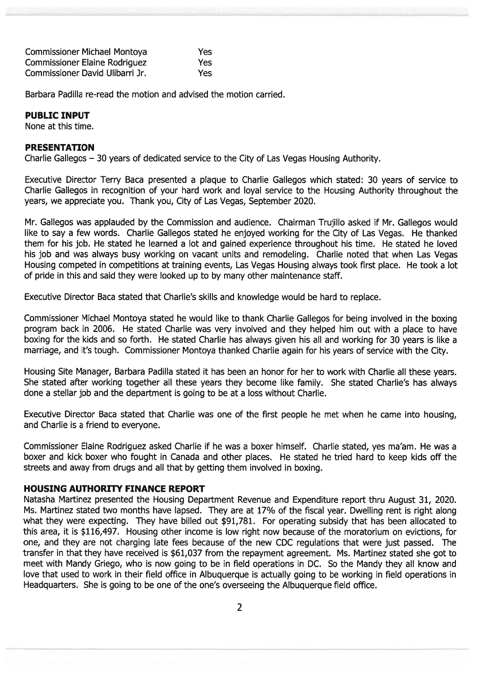| <b>Commissioner Michael Montoya</b>  | Yes  |
|--------------------------------------|------|
| <b>Commissioner Elaine Rodriguez</b> | Yes  |
| Commissioner David Ulibarri Jr.      | Yes: |

Barbara Padilla re-read the motion and advised the motion carried.

#### PUBLIC INPUT

None at this time.

#### PRESENTATION

Charlie Gallegos — 30 years of dedicated service to the City of Las Vegas Housing Authority.

Executive Director Terry Baca presented <sup>a</sup> plaque to Charlie Gallegos which stated: 30 years of service to Charlie Gallegos in recognition of your hard work and loyal service to the Housing Authority throughout the years, we appreciate you. Thank you, City of Las Vegas, September 2020.

Mr. Gallegos was applauded by the Commission and audience. Chairman Trujillo asked if Mr. Gallegos would like to say <sup>a</sup> few words. Charlie Gallegos stated he enjoyed working for the City of Las Vegas. He thanked them for his job. He stated he learned <sup>a</sup> lot and gained experience throughout his time. He stated he loved his job and was always busy working on vacant units and remodeling. Charlie noted that when Las Vegas Housing competed in competitions at training events, Las Vegas Housing always took first place. He took <sup>a</sup> lot of pride in this and said they were looked up to by many other maintenance staff.

Executive Director Baca stated that Charlie's skills and knowledge would be hard to replace.

Commissioner Michael Montoya stated he would like to thank Charlie Gallegos for being involved in the boxing program back in 2006. He stated Charlie was very involved and they helped him out with <sup>a</sup> place to have boxing for the kids and so forth. He stated Charlie has always given his all and working for 30 years is like <sup>a</sup> marriage, and it's tough. Commissioner Montoya thanked Charlie again for his years of service with the City.

Housing Site Manager, Barbara Padilla stated it has been an honor for her to work with Charlie all these years. She stated after working together all these years they become like family. She stated Charlie's has always done <sup>a</sup> stellar job and the department is going to be at <sup>a</sup> loss without Charlie.

Executive Director Baca stated that Charlie was one of the first people he met when he came into housing, and Charlie is <sup>a</sup> friend to everyone.

Commissioner Elaine Rodriguez asked Charlie if he was <sup>a</sup> boxer himself. Charlie stated, yes ma'am. He was <sup>a</sup> boxer and kick boxer who fought in Canada and other places. He stated he tried hard to keep kids off the streets and away from drugs and all that by getting them involved in boxing.

### HOUSING AUTHORITY FINANCE REPORT

Natasha Martinez presented the Housing Department Revenue and Expenditure repor<sup>t</sup> thru August 31, 2020. Ms. Martinez stated two months have lapsed. They are at 17% of the fiscal year. Dwelling rent is right along what they were expecting. They have billed out \$91,781. For operating subsidy that has been allocated to this area, it is \$116,497. Housing other income is low right now because of the moratorium on evictions, for one, and they are not charging late fees because of the new CDC regulations that were just passed. The transfer in that they have received is \$61,037 from the repaymen<sup>t</sup> agreement. Ms. Martinez stated she go<sup>t</sup> to meet with Mandy Griego, who is now going to be in field operations in DC. So the Mandy they all know and love that used to work in their field office in Albuquerque is actually going to be working in field operations in Headquarters. She is going to be one of the one's overseeing the Albuquerque field office.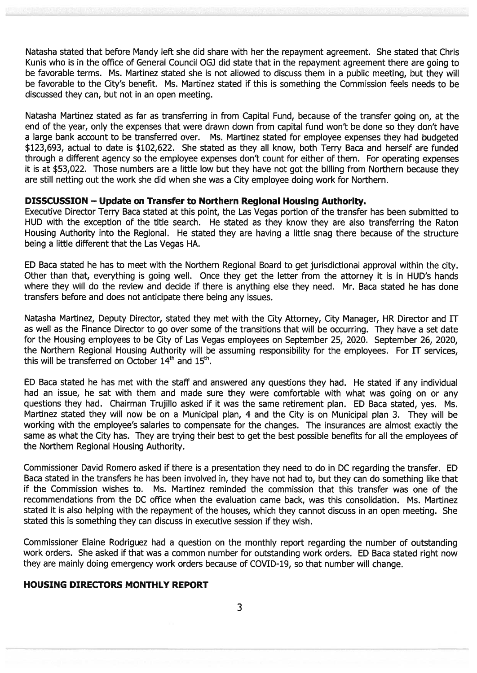Natasha stated that before Mandy left she did share with her the repaymen<sup>t</sup> agreement. She stated that Chris Kunis who is in the office of General Council OG] did state that in the repaymen<sup>t</sup> agreemen<sup>t</sup> there are going to be favorable terms. Ms. Martinez stated she is not allowed to discuss them in <sup>a</sup> public meeting, but they will be favorable to the City's benefit. Ms. Martinez stated if this is something the Commission feels needs to be discussed they can, but not in an open meeting.

Natasha Martinez stated as far as transferring in from Capital Fund, because of the transfer going on, at the end of the year, only the expenses that were drawn down from capital fund won't be done so they don't have <sup>a</sup> large bank account to be transferred over. Ms. Martinez stated for employee expenses they had budgeted \$123,693, actual to date is \$102,622. She stated as they all know, both Terry Baca and herself are funded through <sup>a</sup> different agency so the employee expenses don't count for either of them. For operating expenses it is at \$53,022. Those numbers are <sup>a</sup> little low but they have not go<sup>t</sup> the billing from Northern because they are still netting out the work she did when she was <sup>a</sup> City employee doing work for Northern.

#### DISSCUSSION — Update on Transfer to Northern Regional Housing Authority.

Executive Director Terry Baca stated at this point, the Las Vegas portion of the transfer has been submitted to HUD with the exception of the title search. He stated as they know they are also transferring the Raton Housing Authority into the Regional. He stated they are having <sup>a</sup> little snag there because of the structure being <sup>a</sup> little different that the Las Vegas HA.

ED Baca stated he has to meet with the Northern Regional Board to ge<sup>t</sup> jurisdictional approval within the city. Other than that, everything is going well. Once they ge<sup>t</sup> the letter from the attorney it is in HUD's hands where they will do the review and decide if there is anything else they need. Mr. Baca stated he has done transfers before and does not anticipate there being any issues.

Natasha Martinez, Deputy Director, stated they met with the City Attorney, City Manager, HR Director and IT as well as the Finance Director to go over some of the transitions that will be occurring. They have <sup>a</sup> set date for the Housing employees to be City of Las Vegas employees on September 25, 2020. September 26, 2020, the Northern Regional Housing Authority will be assuming responsibility for the employees. For IT services, this will be transferred on October  $14<sup>th</sup>$  and  $15<sup>th</sup>$ .

ED Baca stated he has met with the staff and answered any questions they had. He stated if any individual had an issue, he sat with them and made sure they were comfortable with what was going on or any questions they had. Chairman Trujillo asked if it was the same retirement plan. ED Baca stated, yes. Ms. Martinez stated they will now be on <sup>a</sup> Municipal plan, 4 and the City is on Municipal plan 3. They will be working with the employee's salaries to compensate for the changes. The insurances are almost exactly the same as what the City has. They are trying their best to ge<sup>t</sup> the best possible benefits for all the employees of the Northern Regional Housing Authority.

Commissioner David Romero asked if there is <sup>a</sup> presentation they need to do in DC regarding the transfer. ED Baca stated in the transfers he has been involved in, they have not had to, but they can do something like that if the Commission wishes to. Ms. Martinez reminded the commission that this transfer was one of the recommendations from the DC office when the evaluation came back, was this consolidation. Ms. Martinez stated it is also helping with the repaymen<sup>t</sup> of the houses, which they cannot discuss in an open meeting. She stated this is something they can discuss in executive session if they wish.

Commissioner Elaine Rodriguez had <sup>a</sup> question on the monthly repor<sup>t</sup> regarding the number of outstanding work orders. She asked if that was <sup>a</sup> common number for outstanding work orders. ED Baca stated right now they are mainly doing emergency work orders because of COVID-19, so that number will change.

### HOUSING DIRECTORS MONTHLY REPORT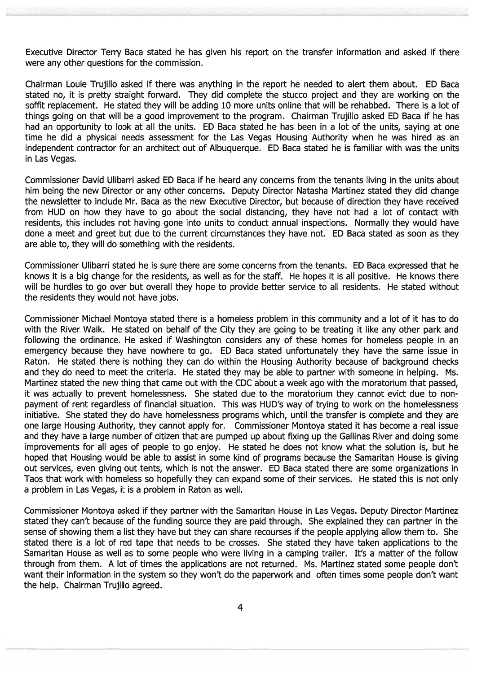Executive Director Terry Baca stated he has given his repor<sup>t</sup> on the transfer information and asked if there were any other questions for the commission.

Chairman Louie Trujillo asked if there was anything in the repor<sup>t</sup> he needed to alert them about. ED Baca stated no, it is pretty straight forward. They did complete the stucco project and they are working on the soffit replacement. He stated they will be adding 10 more units online that will be rehabbed. There is <sup>a</sup> lot of things going on that will be <sup>a</sup> good improvement to the program. Chairman Trujillo asked ED Baca if he has had an opportunity to look at all the units. ED Baca stated he has been in <sup>a</sup> lot of the units, saying at one time he did <sup>a</sup> physical needs assessment for the Las Vegas Housing Authority when he was hired as an independent contractor for an architect out of Albuquerque. ED Baca stated he is familiar with was the units in Las Vegas.

Commissioner David Ulibarri asked ED Baca if he heard any concerns from the tenants living in the units about him being the new Director or any other concerns. Deputy Director Natasha Martinez stated they did change the newsletter to include Mr. Baca as the new Executive Director, but because of direction they have received from HUD on how they have to go about the social distancing, they have not had <sup>a</sup> lot of contact with residents, this includes not having gone into units to conduct annual inspections. Normally they would have done <sup>a</sup> meet and gree<sup>t</sup> but due to the current circumstances they have not. ED Baca stated as soon as they are able to, they will do something with the residents.

Commissioner Ulibarri stated he is sure there are some concerns from the tenants. ED Baca expressed that he knows it is <sup>a</sup> big change for the residents, as well as for the staff. He hopes it is all positive. He knows there will be hurdles to go over but overall they hope to provide better service to all residents. He stated without the residents they would not have jobs.

Commissioner Michael Montoya stated there is <sup>a</sup> homeless problem in this community and <sup>a</sup> lot of it has to do with the River Walk. He stated on behalf of the City they are going to be treating it like any other park and following the ordinance. He asked if Washington considers any of these homes for homeless people in an emergency because they have nowhere to go. ED Baca stated unfortunately they have the same issue in Raton. He stated there is nothing they can do within the Housing Authority because of background checks and they do need to meet the criteria. He stated they may be able to partner with someone in helping. Ms. Martinez stated the new thing that came out with the CDC about <sup>a</sup> week ago with the moratorium that passed, it was actually to preven<sup>t</sup> homelessness. She stated due to the moratorium they cannot evict due to non paymen<sup>t</sup> of rent regardless of financial situation. This was HUD's way of trying to work on the homelessness initiative. She stated they do have homelessness programs which, until the transfer is complete and they are one large Housing Authority, they cannot apply for. Commissioner Montoya stated it has become a real issue and they have <sup>a</sup> large number of citizen that are pumped up about fixing up the Gallinas River and doing some improvements for all ages of people to go enjoy. He stated he does not know what the solution is, but he hoped that Housing would be able to assist in some kind of programs because the Samaritan House is giving out services, even giving out tents, which is not the answer. ED Baca stated there are some organizations in Taos that work with homeless so hopefully they can expand some of their services. He stated this is not only <sup>a</sup> problem in Las Vegas, it is <sup>a</sup> problem in Raton as well.

Commissioner Montoya asked if they partner with the Samaritan House in Las Vegas. Deputy Director Martinez stated they can't because of the funding source they are paid through. She explained they can partner in the sense of showing them <sup>a</sup> list they have but they can share recourses if the people applying allow them to. She stated there is <sup>a</sup> lot of red tape that needs to be crosses. She stated they have taken applications to the Samaritan House as well as to some people who were living in <sup>a</sup> camping trailer. It's <sup>a</sup> matter of the follow through from them. A lot of times the applications are not returned. Ms. Martinez stated some people don't want their information in the system so they won't do the paperwork and often times some people don't want the help. Chairman Trujillo agreed.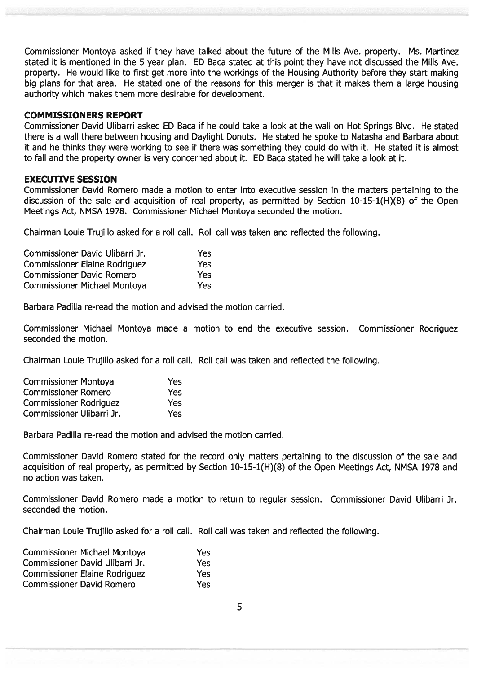Commissioner Montoya asked if they have talked about the future of the Mills Ave. property. Ms. Martinez stated it is mentioned in the 5 year plan. ED Baca stated at this point they have not discussed the Mills Ave. property. He would like to first ge<sup>t</sup> more into the workings of the Housing Authority before they start making big plans for that area. He stated one of the reasons for this merger is that it makes them <sup>a</sup> large housing authority which makes them more desirable for development.

#### COMMISSIONERS REPORT

Commissioner David Ulibarri asked ED Baca if he could take <sup>a</sup> look at the wall on Hot Springs Blvd. He stated there is <sup>a</sup> wall there between housing and Daylight Donuts. He stated he spoke to Natasha and Barbara about it and he thinks they were working to see if there was something they could do with it. He stated it is almost to fall and the property owner is very concerned about it. ED Baca stated he will take <sup>a</sup> look at it.

#### EXECUTIVE SESSION

Commissioner David Romero made <sup>a</sup> motion to enter into executive session in the matters pertaining to the discussion of the sale and acquisition of real property, as permitted by Section 1O-15-1(H)(8) of the Open Meetings Act, NMSA 1978. Commissioner Michael Montoya seconded the motion.

Chairman Louie Trujillo asked for <sup>a</sup> roll call. Roll call was taken and reflected the following.

| Commissioner David Ulibarri Jr.      | Yes |
|--------------------------------------|-----|
| <b>Commissioner Elaine Rodriguez</b> | Yes |
| <b>Commissioner David Romero</b>     | Yes |
| <b>Commissioner Michael Montoya</b>  | Yes |

Barbara Padilla re-read the motion and advised the motion carried.

Commissioner Michael Montoya made <sup>a</sup> motion to end the executive session. Commissioner Rodriguez seconded the motion.

Chairman Louie Trujillo asked for <sup>a</sup> roll call. Roll call was taken and reflected the following.

| <b>Commissioner Montoya</b>   | Yes |
|-------------------------------|-----|
| <b>Commissioner Romero</b>    | Yes |
| <b>Commissioner Rodriguez</b> | Yes |
| Commissioner Ulibarri Jr.     | Yes |

Barbara Padilla re-read the motion and advised the motion carried.

Commissioner David Romero stated for the record only matters pertaining to the discussion of the sale and acquisition of real property, as permitted by Section 1O-15-1(H)(8) of the Open Meetings Act, NMSA 1978 and no action was taken.

Commissioner David Romero made <sup>a</sup> motion to return to regular session. Commissioner David Ulibarri Jr. seconded the motion.

Chairman Louie Trujillo asked for <sup>a</sup> roll call. Roll call was taken and reflected the following.

| <b>Commissioner Michael Montoya</b>  | Yes        |
|--------------------------------------|------------|
| Commissioner David Ulibarri Jr.      | Yes        |
| <b>Commissioner Elaine Rodriguez</b> | <b>Yes</b> |
| <b>Commissioner David Romero</b>     | Yes        |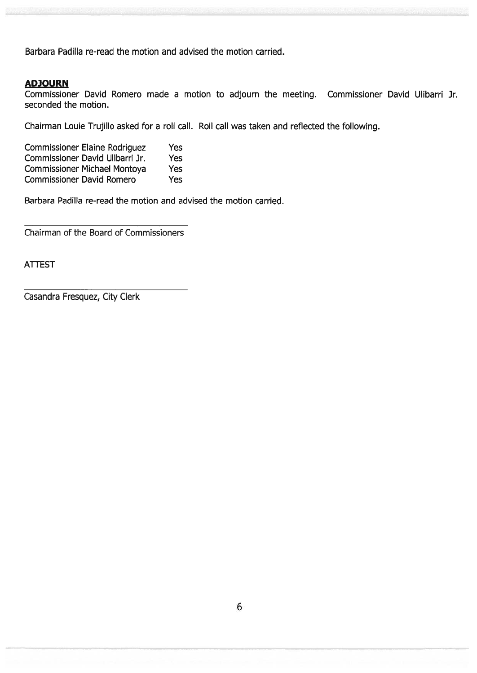Barbara Padilla re-read the motion and advised the motion carried.

#### ADJOURN

Commissioner David Romero made <sup>a</sup> motion to adjourn the meeting. Commissioner David Ulibarri Jr. seconded the motion.

Chairman Louie Trujillo asked for <sup>a</sup> roll call. Roll call was taken and reflected the following.

| <b>Commissioner Elaine Rodriguez</b> | Yes        |
|--------------------------------------|------------|
| Commissioner David Ulibarri Jr.      | <b>Yes</b> |
| <b>Commissioner Michael Montoya</b>  | Yes        |
| <b>Commissioner David Romero</b>     | Yes        |

Barbara Padilla re-read the motion and advised the motion carried.

Chairman of the Board of Commissioners

ATTEST

Casandra Fresquez, City Clerk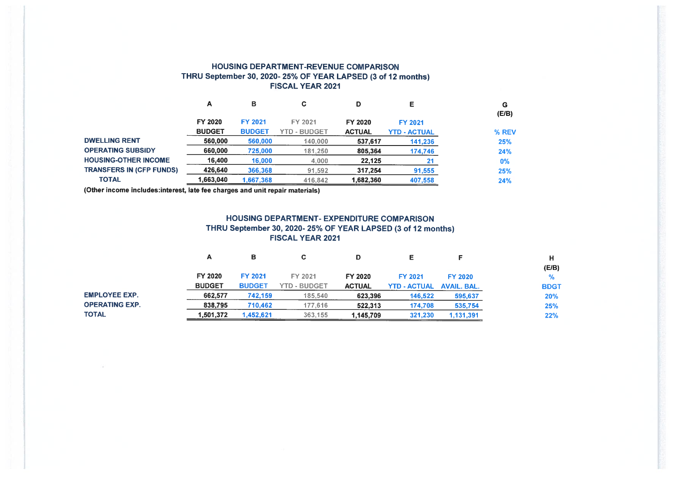#### HOUSING DEPARTMENT-REVENUE COMPARISON THRU September 30, 2020- 25% OF YEAR LAPSED (3 of 12 months) FISCAL YEAR 2021

|                                 | А             | в              | C                   | D             |                     | G<br>(E/B) |
|---------------------------------|---------------|----------------|---------------------|---------------|---------------------|------------|
|                                 | FY 2020       | <b>FY 2021</b> | FY 2021             | FY 2020       | FY 2021             |            |
|                                 | <b>BUDGET</b> | <b>BUDGET</b>  | <b>YTD - BUDGET</b> | <b>ACTUAL</b> | <b>YTD - ACTUAL</b> | % REV      |
| <b>DWELLING RENT</b>            | 560,000       | 560,000        | 140,000             | 537,617       | 141,236             | 25%        |
| <b>OPERATING SUBSIDY</b>        | 660,000       | 725,000        | 181,250             | 805,364       | 174,746             | 24%        |
| <b>HOUSING-OTHER INCOME</b>     | 16,400        | 16,000         | 4,000               | 22,125        | 21                  | $0\%$      |
| <b>TRANSFERS IN (CFP FUNDS)</b> | 426,640       | 366,368        | 91,592              | 317.254       | 91,555              | 25%        |
| <b>TOTAL</b>                    | 1.663.040     | 1.667.368      | 416,842             | 1,682,360     | 407,558             | 24%        |

(Other income includes:interest, late fee charges and unit repair materials)

#### HOUSING DEPARTMENT- EXPENDITURE COMPARISON THRU September 30, 2020- 25% OF YEAR LAPSED (3 of 12 months) FISCAL YEAR 2021

|                       | А             | в              | С            |               |                     |                    | н           |
|-----------------------|---------------|----------------|--------------|---------------|---------------------|--------------------|-------------|
|                       |               |                |              |               |                     |                    | (E/B)       |
|                       | FY 2020       | <b>FY 2021</b> | FY 2021      | FY 2020       | <b>FY 2021</b>      | <b>FY 2020</b>     | %           |
|                       | <b>BUDGET</b> | <b>BUDGET</b>  | YTD - BUDGET | <b>ACTUAL</b> | <b>YTD - ACTUAL</b> | <b>AVAIL, BAL.</b> | <b>BDGT</b> |
| <b>EMPLOYEE EXP.</b>  | 662,577       | 742.159        | 185,540      | 623,396       | 146,522             | 595,637            | 20%         |
| <b>OPERATING EXP.</b> | 838,795       | 710,462        | 177.616      | 522,313       | 174,708             | 535,754            | 25%         |
| TOTAL                 | 1,501,372     | 1,452,621      | 363,155      | 1,145,709     | 321,230             | 1,131,391          | 22%         |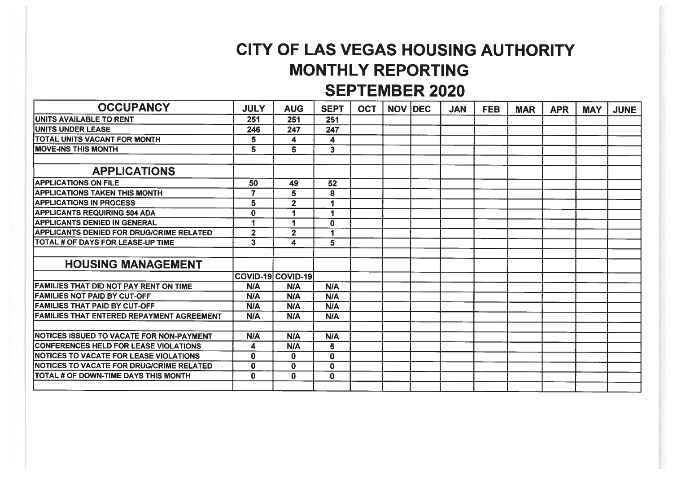# CITY OF LAS VEGAS HOUSING AUTHORITY MONTHLY REPORTING SEPTEMBER 2020

| <b>OCCUPANCY</b>                                 | <b>JULY</b>             | <b>AUG</b>              | <b>SEPT</b>          | <b>OCT</b> | <b>NOV DEC</b> | <b>JAN</b> | <b>FEB</b> | <b>MAR</b> | <b>APR</b> | <b>MAY</b> | <b>JUNE</b> |
|--------------------------------------------------|-------------------------|-------------------------|----------------------|------------|----------------|------------|------------|------------|------------|------------|-------------|
| UNITS AVAILABLE TO RENT                          | 251                     | 251                     | 251                  |            |                |            |            |            |            |            |             |
| <b>UNITS UNDER LEASE</b>                         | 246                     | 247                     | 247                  |            |                |            |            |            |            |            |             |
| TOTAL UNITS VACANT FOR MONTH                     | 5                       | 4                       | 4                    |            |                |            |            |            |            |            |             |
| <b>IMOVE-INS THIS MONTH</b>                      | 5                       | 5                       | $\mathbf{3}$         |            |                |            |            |            |            |            |             |
|                                                  |                         |                         |                      |            |                |            |            |            |            |            |             |
| <b>APPLICATIONS</b>                              |                         |                         |                      |            |                |            |            |            |            |            |             |
| <b>APPLICATIONS ON FILE</b>                      | 50                      | 49                      | 52                   |            |                |            |            |            |            |            |             |
| <b>APPLICATIONS TAKEN THIS MONTH</b>             | $\overline{\mathbf{z}}$ | 5                       | 8                    |            |                |            |            |            |            |            |             |
| <b>APPLICATIONS IN PROCESS</b>                   | 5                       | $\overline{2}$          |                      |            |                |            |            |            |            |            |             |
| <b>APPLICANTS REQUIRING 504 ADA</b>              | $\mathbf 0$             | 1                       |                      |            |                |            |            |            |            |            |             |
| <b>APPLICANTS DENIED IN GENERAL</b>              |                         | 1                       | $\mathbf 0$          |            |                |            |            |            |            |            |             |
| <b>APPLICANTS DENIED FOR DRUG/CRIME RELATED</b>  | $\overline{\mathbf{2}}$ | $\overline{\mathbf{2}}$ | $\blacktriangleleft$ |            |                |            |            |            |            |            |             |
| <b>TOTAL # OF DAYS FOR LEASE-UP TIME</b>         | $\overline{\mathbf{3}}$ | 4                       | $\overline{5}$       |            |                |            |            |            |            |            |             |
|                                                  |                         |                         |                      |            |                |            |            |            |            |            |             |
| <b>HOUSING MANAGEMENT</b>                        |                         |                         |                      |            |                |            |            |            |            |            |             |
|                                                  |                         | COVID-19 COVID-19       |                      |            |                |            |            |            |            |            |             |
| <b>FAMILIES THAT DID NOT PAY RENT ON TIME</b>    | <b>N/A</b>              | <b>N/A</b>              | N/A                  |            |                |            |            |            |            |            |             |
| <b>FAMILIES NOT PAID BY CUT-OFF</b>              | <b>N/A</b>              | <b>N/A</b>              | <b>N/A</b>           |            |                |            |            |            |            |            |             |
| <b>FAMILIES THAT PAID BY CUT-OFF</b>             | <b>N/A</b>              | <b>N/A</b>              | <b>N/A</b>           |            |                |            |            |            |            |            |             |
| <b>FAMILIES THAT ENTERED REPAYMENT AGREEMENT</b> | <b>N/A</b>              | <b>N/A</b>              | N/A                  |            |                |            |            |            |            |            |             |
|                                                  |                         |                         |                      |            |                |            |            |            |            |            |             |
| <b>NOTICES ISSUED TO VACATE FOR NON-PAYMENT</b>  | N/A                     | <b>N/A</b>              | N/A                  |            |                |            |            |            |            |            |             |
| <b>CONFERENCES HELD FOR LEASE VIOLATIONS</b>     | 4                       | <b>N/A</b>              | 5                    |            |                |            |            |            |            |            |             |
| <b>INOTICES TO VACATE FOR LEASE VIOLATIONS</b>   | $\mathbf 0$             | 0                       | $\mathbf{0}$         |            |                |            |            |            |            |            |             |
| <b>INOTICES TO VACATE FOR DRUG/CRIME RELATED</b> | $\mathbf{0}$            | $\mathbf 0$             | 0                    |            |                |            |            |            |            |            |             |
| <b>TOTAL # OF DOWN-TIME DAYS THIS MONTH</b>      | $\bf{0}$                | $\mathbf 0$             | 0                    |            |                |            |            |            |            |            |             |
|                                                  |                         |                         |                      |            |                |            |            |            |            |            |             |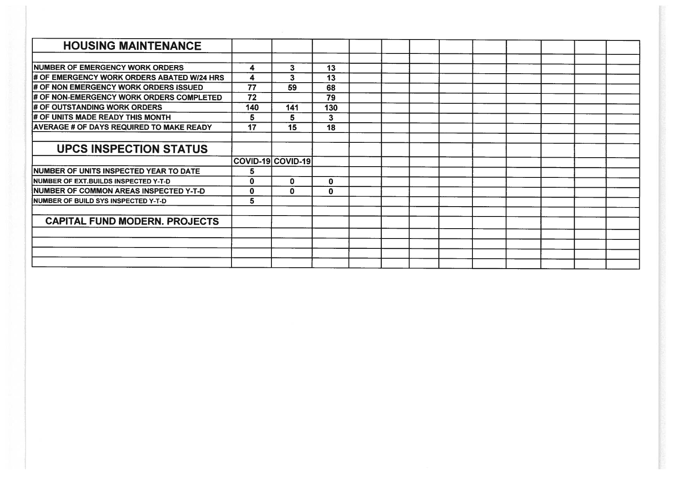| <b>HOUSING MAINTENANCE</b>                      |             |                   |             |  |  |  |  |  |
|-------------------------------------------------|-------------|-------------------|-------------|--|--|--|--|--|
|                                                 |             |                   |             |  |  |  |  |  |
| <b>NUMBER OF EMERGENCY WORK ORDERS</b>          | 4           | 3                 | 13          |  |  |  |  |  |
| # OF EMERGENCY WORK ORDERS ABATED W/24 HRS      | 4           | 3                 | 13          |  |  |  |  |  |
| # OF NON EMERGENCY WORK ORDERS ISSUED           | 77          | 59                | 68          |  |  |  |  |  |
| # OF NON-EMERGENCY WORK ORDERS COMPLETED        | 72          |                   | 79          |  |  |  |  |  |
| # OF OUTSTANDING WORK ORDERS                    | 140         | 141               | 130         |  |  |  |  |  |
| # OF UNITS MADE READY THIS MONTH                | 5           | 5                 | 3           |  |  |  |  |  |
| <b>AVERAGE # OF DAYS REQUIRED TO MAKE READY</b> | 17          | 15                | 18          |  |  |  |  |  |
|                                                 |             |                   |             |  |  |  |  |  |
| <b>UPCS INSPECTION STATUS</b>                   |             |                   |             |  |  |  |  |  |
|                                                 |             | COVID-19 COVID-19 |             |  |  |  |  |  |
| NUMBER OF UNITS INSPECTED YEAR TO DATE          | 5.          |                   |             |  |  |  |  |  |
| <b>NUMBER OF EXT.BUILDS INSPECTED Y-T-D</b>     | $\bf{0}$    | 0                 | $\mathbf 0$ |  |  |  |  |  |
| NUMBER OF COMMON AREAS INSPECTED Y-T-D          | $\mathbf 0$ | $\mathbf 0$       | $\mathbf 0$ |  |  |  |  |  |
| NUMBER OF BUILD SYS INSPECTED Y-T-D             | 5           |                   |             |  |  |  |  |  |
|                                                 |             |                   |             |  |  |  |  |  |
| <b>CAPITAL FUND MODERN. PROJECTS</b>            |             |                   |             |  |  |  |  |  |
|                                                 |             |                   |             |  |  |  |  |  |
|                                                 |             |                   |             |  |  |  |  |  |
|                                                 |             |                   |             |  |  |  |  |  |
|                                                 |             |                   |             |  |  |  |  |  |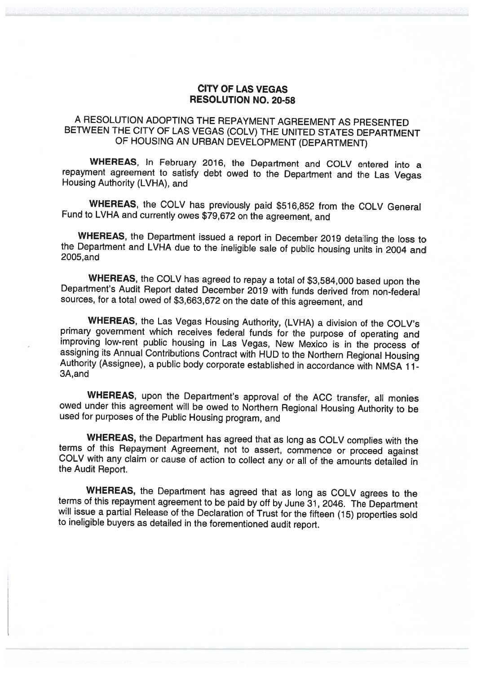#### CITY OF LAS VEGAS RESOLUTION NO. 20-58

## <sup>A</sup> RESOLUTION ADOPTING THE REPAYMENT AGREEMENT AS PRESENTED BETWEEN THE CITY OF LAS VEGAS (COLV) THE UNITED STATES DEPARTMENT OF HOUSING AN URBAN DEVELOPMENT (DEPARTMENT)

WHEREAS, In February 2016, the Department and COLV entered into <sup>a</sup> repayment agreement to satisfy debt owed to the Department and the Las Vegas Housing Authority (LVHA), and

WHEREAS, the COLV has previously paid \$516,852 from the COLV General Fund to LVHA and currently owes \$79,672 on the agreement, and

WHEREAS, the Department issued a report in December 2019 detailing the loss to the Department and LVHA due to the ineligible sale of public housing units in 2004 and 2005,and

WHEREAS, the COLV has agreed to repay a total of \$3,584,000 based upon the Department's Audit Report dated December 2019 with funds derived from non-federal sources, for <sup>a</sup> total owed of \$3,663,672 on the date of this agreement, and

WHEREAS, the Las Vegas Housing Authority, (LVHA) a division of the COLV's primary government which receives federal funds for the purpose of operating and improving low-rent public housing in Las Vegas, New Mexico is in the process of assigning its Annual Contributions Contract with HUD to the Northern Regional Housing Authority (Assignee), a public body corporate establishe 3A, and

WHEREAS, upon the Department's approval of the ACC transfer, all monies owed under this agreement will be owed to Northern Regional Housing Authority to be used for purposes of the Public Housing program, and

WHEREAS, the Department has agreed that as long as COLV complies with the terms of this Repayment Agreement, not to assert, commence or proceed against COLV with any claim or cause of action to collect any or all of the am

WHEREAS, the Department has agreed that as long as COLV agrees to the terms of this repayment agreement to be paid by off by June 31, 2046. The Department will issue a partial Release of the Declaration of Trust for the fifteen (15) properties sold to ineligible buyers as detailed in the forementioned audit report.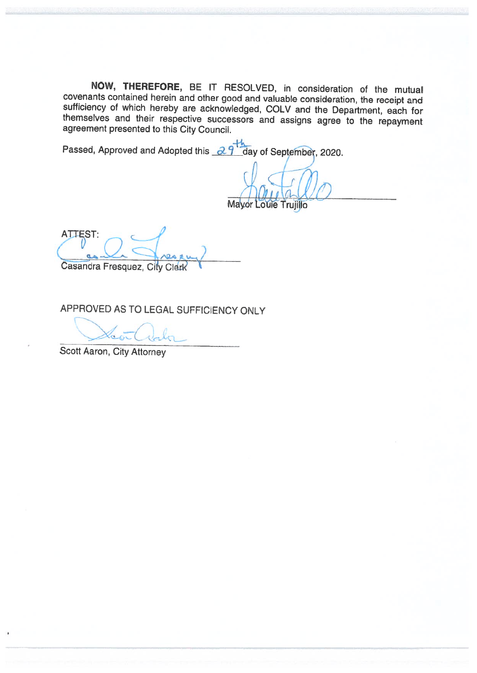NOW, THEREFORE, BE IT RESOLVED, in consideration of the mutual covenants contained herein and other good and valuable consideration, the receipt and sufficiency of which hereby are acknowledged, COLV and the Department, each for themselves and their respective successors and assigns agree to the repayment agreement presented to this City Council.

Passed, Approved and Adopted this 29<sup>th</sup> day of September, 2020.

Mayor Louie Trujillo

ATTEST:  $\sqrt{2}$ Casandra Fresquez, City Clerk

APPROVED AS TO LEGAL SUFFICIENCY ONLY

 $C_{\alpha}$   $C_{\alpha}$ 

Scott Aaron, City Attorney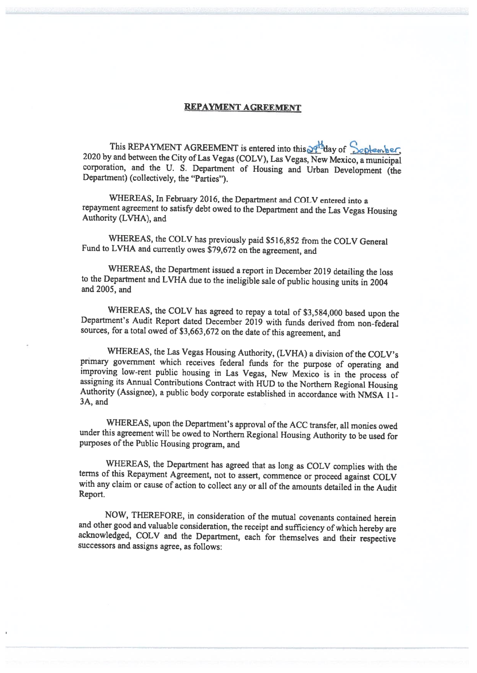#### REPAYMENT AGREEMENT

This REPAYMENT AGREEMENT is entered into this  $\frac{1}{2}$ day of September, 2020 by and between the City of Las Vegas (COLV), Las Vegas, New Mexico, a municipal corporation, and the U. S. Department of Housing and Urban Development (the Department) (collectively, the "Parties").

WHEREAS, In February 2016, the Department and COLV entered into <sup>a</sup> repayment agreement to satisfy debt owed to the Department and the Las Vegas Housing Authority (LVI-IA), and

WHEREAS, the COLV has previously paid \$51 6,852 from the COLV General Fund to LVHA and currently owes \$79,672 on the agreement, and

WHEREAS, the Department issued <sup>a</sup> report in December <sup>2019</sup> detailing the loss to the Department and LVHA due to the ineligible sale of public housing units in <sup>2004</sup> and 2005, and

WHEREAS, the COLV has agreed to repay <sup>a</sup> total of \$3,584,000 based upon the Department's Audit Report dated December <sup>2019</sup> with funds derived from non-federal sources, for <sup>a</sup> total owed of \$3,663,672 on the date of this agreement, and

WHEREAS, the Las Vegas Housing Authority, (LVHA) a division of the COLV's primary government which receives federal funds for the purpose of operating and improving low-rent public housing in Las Vegas, New Mexico is in the process of<br>assigning its Annual Contributions Contract with HUD to the Northern Regional Housing<br>Authority (Assignee), a public body corporate establishe 3A, and

WHEREAS, upon the Department's approval of the ACC transfer, all monies owed under this agreement will be owed to Northern Regional Housing Authority to be used for purposes of the Public Housing program, and

WHEREAS, the Department has agreed that as long as COLV complies with the terms of this Repayment Agreement, not to assert, commence or proceed against COLV with any claim or cause of action to collect any or all of the am Report.

NOW, THEREFORE, in consideration of the mutual covenants contained herein<br>and other good and valuable consideration, the receipt and sufficiency of which hereby are acknowledged, COLV and the Department, each for themselves and their respective successors and assigns agree, as follows: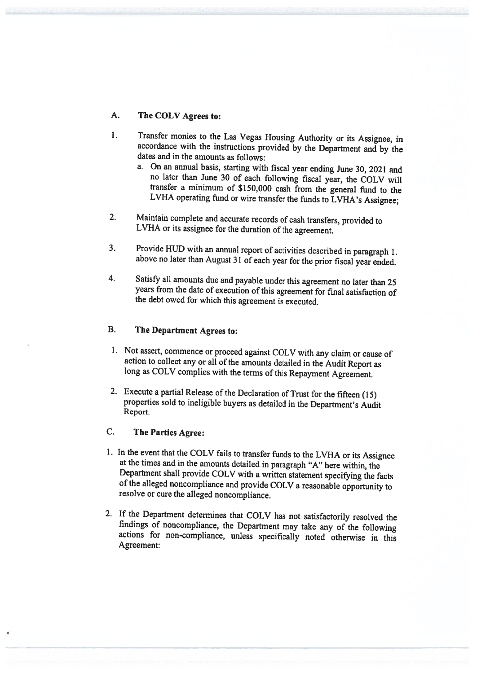#### A. The COLV Agrees to:

- 1. Transfer monies to the Las Vegas Housing Authority or its Assignee, in accordance with the instructions provided by the Department and by the dates and in the amounts as follows:
	- a. On an annual basis, starting with fiscal year ending June 30, <sup>2021</sup> and no later than June <sup>30</sup> of each following fiscal year, the COLV will transfer <sup>a</sup> minimum of \$150,000 cash from the general fund to the LVHA operating fund or wire transfer the funds to LVHA's Assignee;
- 2. Maintain complete and accurate records of cash transfers, provided to LVHA or its assignee for the duration of the agreement.
- 3. Provide HUD with an annual report of activities described in paragraph 1. above no later than August <sup>31</sup> of each year for the prior fiscal year ended.
- 4. Satisfy all amounts due and payable under this agreement no later than <sup>25</sup> years from the date of execution of this agreement for final satisfaction of the debt owed for which this agreement is executed.

# B. The Department Agrees to:

- 1. Not assert, commence or proceed against COLV with any claim or cause of action to collect any or all of the amounts detailed in the Audit Report as long as COLV complies with the terms of this Repayment Agreement.
- 2. Execute <sup>a</sup> partial Release of the Declaration of Trust for the fifteen (15) properties sold to ineligible buyers as detailed in the Department's Audit Report.

#### C. The Parties Agree:

- 1. In the event that the COLV fails to transfer funds to the LVHA or its Assignee at the times and in the amounts detailed in paragraph "A" here within, the Department shall provide COLV with a written statement specifying
- 2. If the Department determines that COLV has not satisfactorily resolved the findings of noncompliance, the Department may take any of the following actions for non-compliance, unless specifically noted otherwise in this Agreement: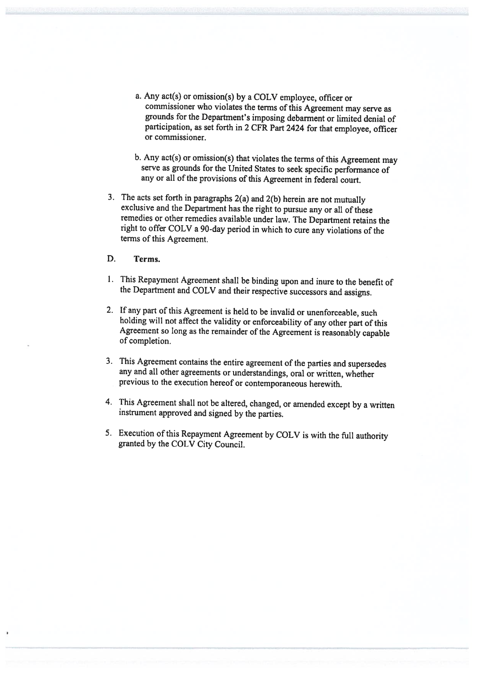- a. Any act(s) or omission(s) by a COLV employee, officer or commissioner who violates the terms of this Agreement may serve as grounds for the Department's imposing debarment or limited denial of participation, as set forth in <sup>2</sup> CFR Part <sup>2424</sup> for that employee, officer or commissioner.
- b. Any act(s) or omission(s) that violates the terms of this Agreement may serve as grounds for the United States to seek specific performance of any or all of the provisions of this Agreement in federal court.
- 3. The acts set forth in paragraphs 2(a) and 2(b) herein are not mutually exclusive and the Department has the right to pursue any or all of these remedies or other remedies available under law. The Department retains the right to offer COLV <sup>a</sup> 90-day period in which to cure any violations of the terms of this Agreement.
- D. Terms.
- 1. This Repayment Agreement shall be binding upon and inure to the benefit of the Department and COLV and their respective successors and assigns.
- 2. If any part of this Agreement is held to be invalid or unenforceable, such holding will not affect the validity or enforceability of any other part of this Agreement so long as the remainder of the Agreement is reasonably capable of completion.
- 3. This Agreement contains the entire agreement of the parties and supersedes any and all other agreements or understandings, oral or written, whether previous to the execution hereof or contemporaneous herewith.
- 4. This Agreement shall not be altered, changed, or amended except by <sup>a</sup> written instrument approved and signed by the parties.
- 5. Execution of this Repayment Agreement by COLV is with the full authority granted by the COLV City Council.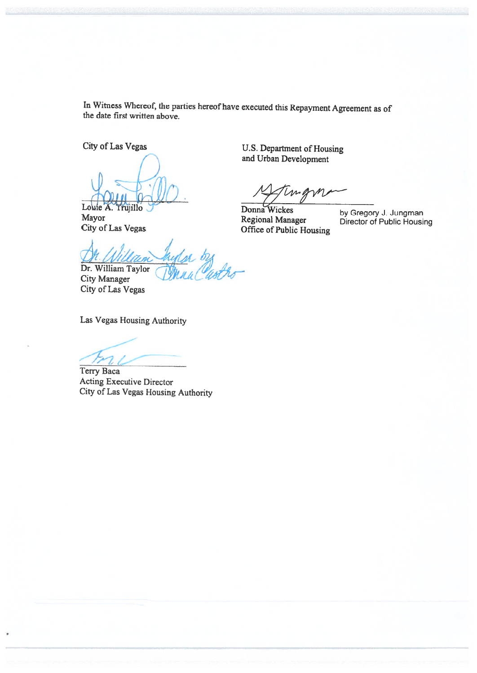In Witness Whereof, the parties hereof have executed this Repayment Agreement as of the date first written above.

City of Las Vegas

 $\left(\begin{array}{c}1\end{array}\right)$  $\sim$ 

Louie A. Trujillo Mayor City of Las Vegas U.S. Department of Housing and Urban Development

Donna Wickes Regional Manager Office of Public Housing

by Gregory J. Jungman Director of Public Housing

Dr. William Taylor /

City Manager City of Las Vegas

Las Vegas Housing Authority

Terry Baca Acting Executive Director City of Las Vegas Housing Authority